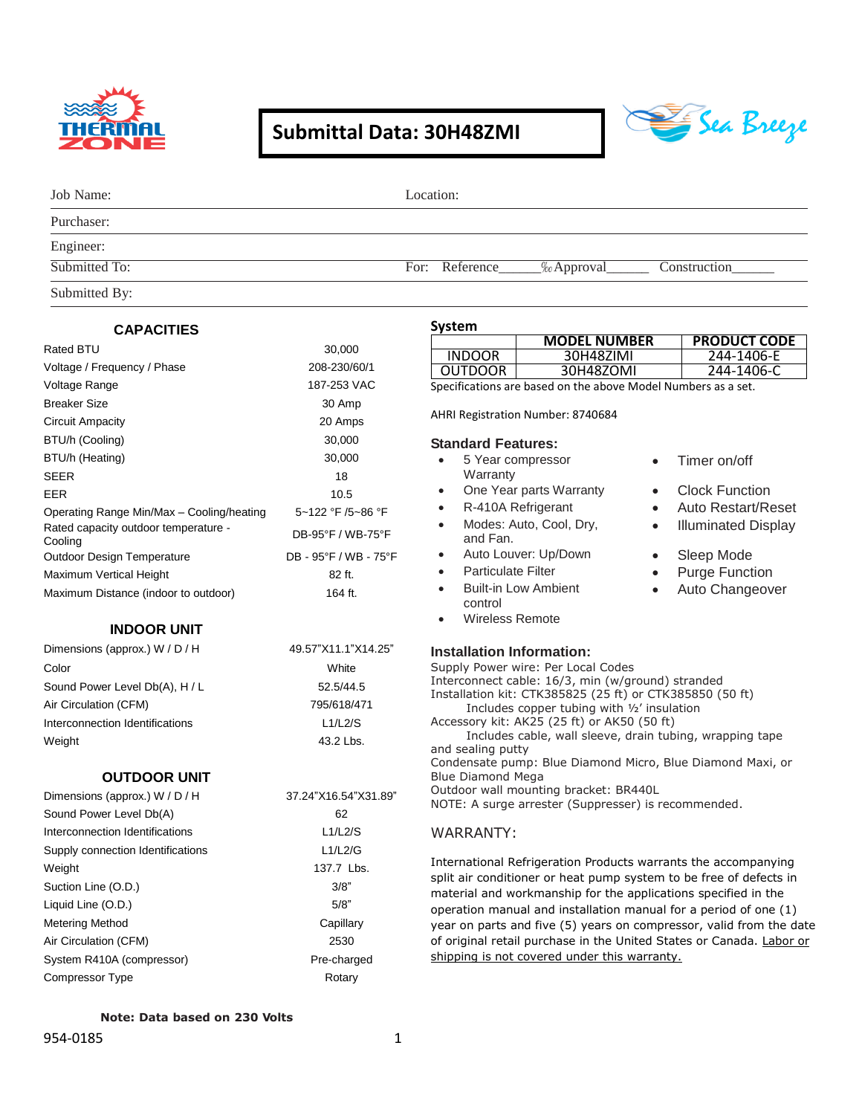

## **Submittal Data: 30H48ZMI**



| Job Name:     | Location:                                        |  |  |  |
|---------------|--------------------------------------------------|--|--|--|
| Purchaser:    |                                                  |  |  |  |
| Engineer:     |                                                  |  |  |  |
| Submitted To: | For: Reference_______% Approval_<br>Construction |  |  |  |
| Submitted By: |                                                  |  |  |  |

|  | <b>CAPACITIES</b> |
|--|-------------------|
|--|-------------------|

|  | <b>CAPACITIES</b> |
|--|-------------------|
|  |                   |

| Rated BTU                                       | 30,000                |  |  |
|-------------------------------------------------|-----------------------|--|--|
| Voltage / Frequency / Phase                     | 208-230/60/1          |  |  |
| Voltage Range                                   | 187-253 VAC           |  |  |
| <b>Breaker Size</b>                             | 30 Amp                |  |  |
| Circuit Ampacity                                | 20 Amps               |  |  |
| BTU/h (Cooling)                                 | 30,000                |  |  |
| BTU/h (Heating)                                 | 30,000                |  |  |
| <b>SEER</b>                                     | 18                    |  |  |
| EER                                             | 10.5                  |  |  |
| Operating Range Min/Max - Cooling/heating       | 5~122 °F /5~86 °F     |  |  |
| Rated capacity outdoor temperature -<br>Cooling | DB-95°F / WB-75°F     |  |  |
| Outdoor Design Temperature                      | DB - 95°F / WB - 75°F |  |  |
| Maximum Vertical Height                         | 82 ft.                |  |  |
| Maximum Distance (indoor to outdoor)            | 164 ft.               |  |  |

#### **INDOOR UNIT**

| Dimensions (approx.) W / D / H  | 49.57"X11.1"X14.25" |  |  |
|---------------------------------|---------------------|--|--|
| Color                           | White               |  |  |
| Sound Power Level Db(A), H / L  | 52.5/44.5           |  |  |
| Air Circulation (CFM)           | 795/618/471         |  |  |
| Interconnection Identifications | L1/L2/S             |  |  |
| Weight                          | 43.2 Lbs.           |  |  |

#### **OUTDOOR UNIT**

| Dimensions (approx.) W / D / H    | 37.24"X16.54"X31.89" |
|-----------------------------------|----------------------|
| Sound Power Level Db(A)           | 62                   |
| Interconnection Identifications   | L1/L2/S              |
| Supply connection Identifications | L1/L2/G              |
| Weight                            | 137.7 Lbs.           |
| Suction Line (O.D.)               | 3/8"                 |
| Liquid Line (O.D.)                | 5/8"                 |
| Metering Method                   | Capillary            |
| Air Circulation (CFM)             | 2530                 |
| System R410A (compressor)         | Pre-charged          |
| Compressor Type                   | Rotary               |

## **System**

| əystem                                                        |                                                   |           |                           |  |
|---------------------------------------------------------------|---------------------------------------------------|-----------|---------------------------|--|
|                                                               | <b>MODEL NUMBER</b>                               |           | <b>PRODUCT CODE</b>       |  |
| <b>INDOOR</b>                                                 | 30H48ZIMI                                         |           | 244-1406-E                |  |
| <b>OUTDOOR</b>                                                | 30H48ZOMI                                         |           | 244-1406-C                |  |
| Specifications are based on the above Model Numbers as a set. |                                                   |           |                           |  |
|                                                               | AHRI Registration Number: 8740684                 |           |                           |  |
| <b>Standard Features:</b>                                     |                                                   |           |                           |  |
|                                                               | 5 Year compressor                                 |           | Timer on/off              |  |
| Warranty<br>$\bullet$                                         | One Year parts Warranty                           |           | Clock Function            |  |
|                                                               |                                                   |           |                           |  |
|                                                               | R-410A Refrigerant                                |           | <b>Auto Restart/Reset</b> |  |
| and Fan.                                                      | Modes: Auto, Cool, Dry,                           | $\bullet$ | Illuminated Display       |  |
| $\bullet$                                                     | Auto Louver: Up/Down                              | $\bullet$ | Sleep Mode                |  |
| <b>Particulate Filter</b>                                     |                                                   |           | <b>Purge Function</b>     |  |
|                                                               | <b>Built-in Low Ambient</b>                       |           | Auto Changeover           |  |
| control                                                       |                                                   |           |                           |  |
| <b>Wireless Remote</b>                                        |                                                   |           |                           |  |
|                                                               |                                                   |           |                           |  |
| <b>Installation Information:</b>                              |                                                   |           |                           |  |
|                                                               | Supply Power wire: Per Local Codes                |           |                           |  |
|                                                               | Interconnect cable: 16/3, min (w/ground) stranded |           |                           |  |
| Installation kit: CTK385825 (25 ft) or CTK385850 (50 ft)      |                                                   |           |                           |  |
| Includes copper tubing with 1/2' insulation                   |                                                   |           |                           |  |
| Accessory kit: AK25 (25 ft) or AK50 (50 ft)                   |                                                   |           |                           |  |
| Includes cable, wall sleeve, drain tubing, wrapping tape      |                                                   |           |                           |  |
| and sealing putty                                             |                                                   |           |                           |  |
| Condensate pump: Blue Diamond Micro, Blue Diamond Maxi, or    |                                                   |           |                           |  |
| <b>Blue Diamond Mega</b>                                      |                                                   |           |                           |  |

## NOTE: A surge arrester (Suppresser) is recommended.

Outdoor wall mounting bracket: BR440L

#### WARRANTY:

International Refrigeration Products warrants the accompanying split air conditioner or heat pump system to be free of defects in material and workmanship for the applications specified in the operation manual and installation manual for a period of one (1) year on parts and five (5) years on compressor, valid from the date of original retail purchase in the United States or Canada. Labor or shipping is not covered under this warranty.

#### **Note: Data based on 230 Volts**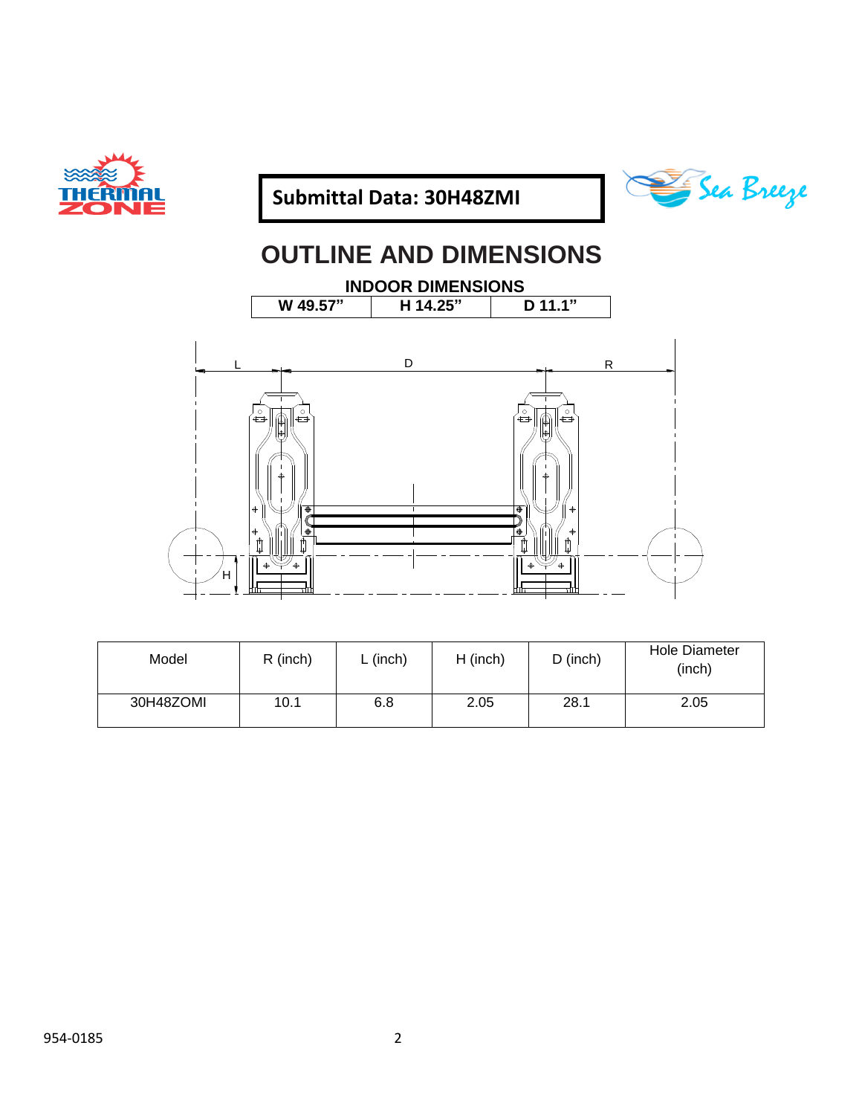





# **OUTLINE AND DIMENSIONS**

**INDOOR DIMENSIONS**<br> **W** 49.57" | H 14.25" | D 11.1" **W 49.57" H 14.25" D 11.1"**



| Model     | R (inch) | $L$ (inch) | $H$ (inch) | $D$ (inch) | <b>Hole Diameter</b><br>(inch) |
|-----------|----------|------------|------------|------------|--------------------------------|
| 30H48ZOMI | 10.1     | 6.8        | 2.05       | 28.1       | 2.05                           |